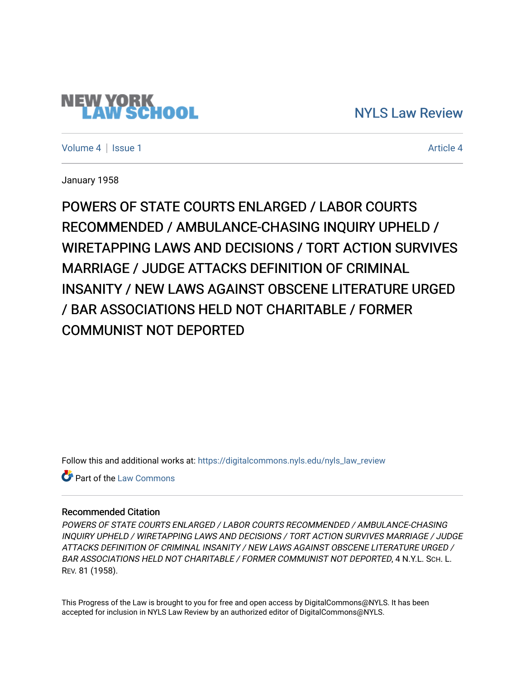# [NYLS Law Review](https://digitalcommons.nyls.edu/nyls_law_review)

[Volume 4](https://digitalcommons.nyls.edu/nyls_law_review/vol4) | [Issue 1](https://digitalcommons.nyls.edu/nyls_law_review/vol4/iss1) [Article 4](https://digitalcommons.nyls.edu/nyls_law_review/vol4/iss1/4) | Article 4 Article 4 | Article 4 Article 4 | Article 4 | Article 4 | Article 4 |

**NEW YORK<br>LAW SCHOOL** 

January 1958

POWERS OF STATE COURTS ENLARGED / LABOR COURTS RECOMMENDED / AMBULANCE-CHASING INQUIRY UPHELD / WIRETAPPING LAWS AND DECISIONS / TORT ACTION SURVIVES MARRIAGE / JUDGE ATTACKS DEFINITION OF CRIMINAL INSANITY / NEW LAWS AGAINST OBSCENE LITERATURE URGED / BAR ASSOCIATIONS HELD NOT CHARITABLE / FORMER COMMUNIST NOT DEPORTED

Follow this and additional works at: [https://digitalcommons.nyls.edu/nyls\\_law\\_review](https://digitalcommons.nyls.edu/nyls_law_review?utm_source=digitalcommons.nyls.edu%2Fnyls_law_review%2Fvol4%2Fiss1%2F4&utm_medium=PDF&utm_campaign=PDFCoverPages) 

Part of the [Law Commons](https://network.bepress.com/hgg/discipline/578?utm_source=digitalcommons.nyls.edu%2Fnyls_law_review%2Fvol4%2Fiss1%2F4&utm_medium=PDF&utm_campaign=PDFCoverPages)

# Recommended Citation

POWERS OF STATE COURTS ENLARGED / LABOR COURTS RECOMMENDED / AMBULANCE-CHASING INQUIRY UPHELD / WIRETAPPING LAWS AND DECISIONS / TORT ACTION SURVIVES MARRIAGE / JUDGE ATTACKS DEFINITION OF CRIMINAL INSANITY / NEW LAWS AGAINST OBSCENE LITERATURE URGED / BAR ASSOCIATIONS HELD NOT CHARITABLE / FORMER COMMUNIST NOT DEPORTED, 4 N.Y.L. SCH. L. REV. 81 (1958).

This Progress of the Law is brought to you for free and open access by DigitalCommons@NYLS. It has been accepted for inclusion in NYLS Law Review by an authorized editor of DigitalCommons@NYLS.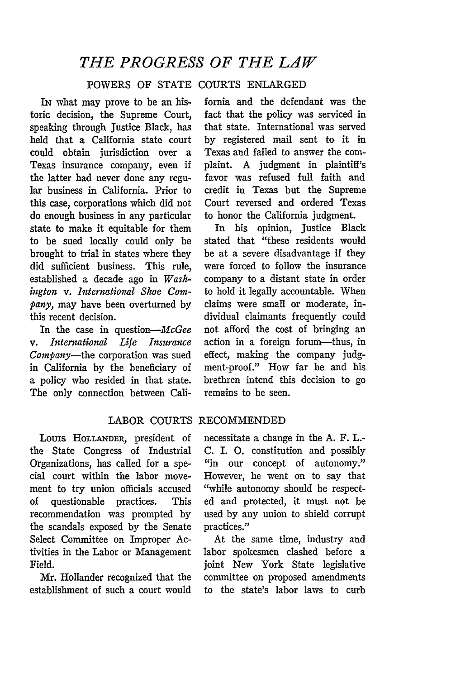# *THE PROGRESS OF THE LAW*

# POWERS OF STATE COURTS ENLARGED

IN what may prove to be an historic decision, the Supreme Court, speaking through Justice Black, has held that a California state court could obtain jurisdiction over a Texas insurance company, even if the latter had never done any regular business in California. Prior to this case, corporations which did not do enough business in any particular state to make it equitable for them to be sued locally could only be brought to trial in states where they did sufficient business. This rule, established a decade ago in *Washington v. International Shoe* Com*pany,* may have been overturned by this recent decision.

In the case in question-McGee *v. International Life Insurance Company-the* corporation was sued in California by the beneficiary of a policy who resided in that state. The only connection between Cali-

fornia and the defendant was the fact that the policy was serviced in that state. International was served by registered mail sent to it in Texas and failed to answer the complaint. A judgment in plaintiff's favor was refused full faith and credit in Texas but the Supreme Court reversed and ordered Texas to honor the California judgment.

In his opinion, Justice Black stated that "these residents would be at a severe disadvantage if they were forced to follow the insurance company to a distant state in order to hold it legally accountable. When claims were small or moderate, individual claimants frequently could not afford the cost of bringing an action in a foreign forum-thus, in effect, making the company judgment-proof." How far he and his brethren intend this decision to go remains to be seen.

#### LABOR COURTS RECOMMENDED

Louis HOLLANDER, president of the State Congress of Industrial Organizations, has called for a special court within the labor movement to try union officials accused of questionable practices. This recommendation was prompted by the scandals exposed by the Senate Select Committee on Improper Activities in the Labor or Management Field.

Mr. Hollander recognized that the establishment of such a court would necessitate a change in the A. F. L.- C. I. **0.** constitution and possibly "in our concept of autonomy." However, he went on to say that "while autonomy should be respected and protected, it must not be used by any union to shield corrupt practices."

At the same time, industry and labor spokesmen clashed before a joint New York State legislative committee on proposed amendments to the state's labor laws to curb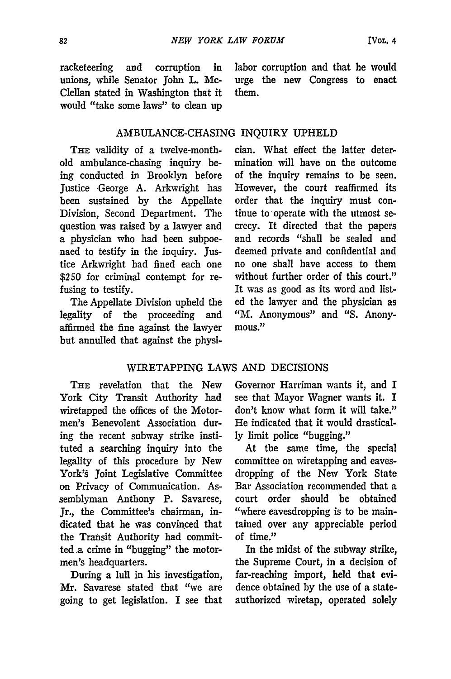racketeering and corruption in unions, while Senator John L. Mc-Clellan stated in Washington that it would "take some laws" to clean up labor corruption and that he would urge the new Congress to enact them.

# AMBULANCE-CHASING INQUIRY UPHELD

**THE** validity of a twelve-monthold ambulance-chasing inquiry being conducted in Brooklyn before Justice George A. Arkwright has been sustained by the Appellate Division, Second Department. The question was raised by a lawyer and a physician who had been subpoenaed to testify in the inquiry. Justice Arkwright had fined each one \$250 for criminal contempt for refusing to testify.

The Appellate Division upheld the legality of the proceeding and affirmed the fine against the lawyer but annulled that against the physician. What effect the latter determination will have on the outcome of the inquiry remains to be seen. However, the court reaffirmed its order that the inquiry must continue to operate with the utmost secrecy. It directed that the papers and records "shall be sealed and deemed private and confidential and no one shall have access to them without further order of this court." It was as good as its word and listed the lawyer and the physician as "M. Anonymous" and "S. Anony**mous."**

### WIRETAPPING LAWS AND DECISIONS

THE revelation that the New York City Transit Authority had wiretapped the offices of the Motormen's Benevolent Association during the recent subway strike instituted a searching inquiry into the legality of this procedure by New York's Joint Legislative Committee on Privacy of Communication. Assemblyman Anthony P. Savarese, Jr., the Committee's chairman, indicated that he was convinced that the Transit Authority had committed .a crime in "bugging" the motormen's headquarters.

During a lull in his investigation, Mr. Savarese stated that *"we* are going to get legislation. I see that Governor Harriman wants it, and I see that Mayor Wagner wants it. I don't know what form it will take." He indicated that it would drastically limit police "bugging."

At the same time, the special committee on wiretapping and eavesdropping of the New York State Bar Association recommended that a court order should be obtained "where eavesdropping is to be maintained over any appreciable period of time."

In the midst of the subway strike, the Supreme Court, in a decision of far-reaching import, held that evidence obtained by the use of a stateauthorized wiretap, operated solely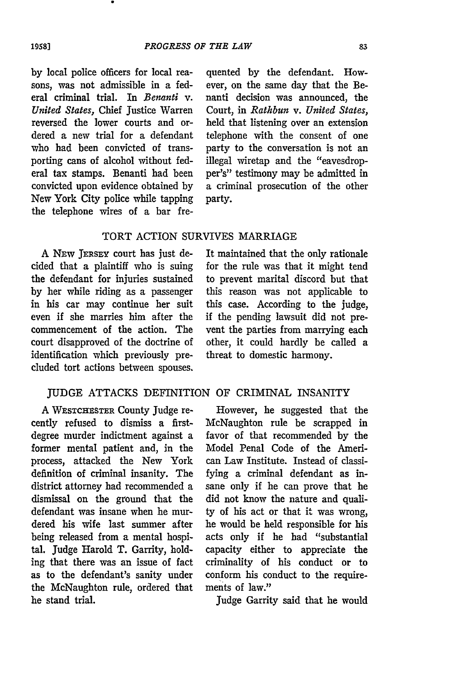by local police officers for local reasons, was not admissible in a federal criminal trial. In *Benanti v. United* States, Chief Justice Warren reversed the lower courts and ordered a new trial for a defendant who had been convicted of transporting cans of alcohol without federal tax stamps. Benanti had been convicted upon evidence obtained by New York City police while tapping the telephone wires of a bar frequented by the defendant. However, on the same day that the Benanti decision was announced, the Court, in *Rathbun v. United States,* held that listening over an extension telephone with the consent of one party to the conversation is not an illegal wiretap and the "eavesdropper's" testimony may be admitted in a criminal prosecution of the other party.

### TORT ACTION SURVIVES MARRIAGE

A NEw JERSEY court has just decided that a plaintiff who is suing the defendant for injuries sustained by her while riding as a passenger in his car may continue her suit even if she marries him after the commencement of the action. The court disapproved of the doctrine of identification which previously precluded tort actions between spouses.

It maintained that the only rationale for the rule was that it might tend to prevent marital discord but that this reason was not applicable to this case. According to the judge, if the pending lawsuit **did** not prevent the parties from marrying each other, it could hardly be called a threat to domestic harmony.

## JUDGE ATTACKS DEFINITION OF CRIMINAL INSANITY

A **WESTCHESTER** County Judge recently refused to dismiss a firstdegree murder indictment against a former mental patient and, in the process, attacked the New York definition of criminal insanity. The district attorney had recommended a dismissal on the ground that the defendant was insane when he murdered his wife last summer after being released from a mental hospital. Judge Harold T. Garrity, holding that there was an issue of fact as to the defendant's sanity under the McNaughton rule, ordered that he stand trial.

However, he suggested that the McNaughton rule be scrapped in favor of that recommended by the Model Penal Code of the American Law Institute. Instead of classifying a criminal defendant as insane only if he can prove that he did not know the nature and quality of his act or that it was wrong, he would be held responsible for his acts only if he had "substantial capacity either to appreciate the criminality of his conduct or to conform his conduct to the requirements of law."

Judge Garrity said that he would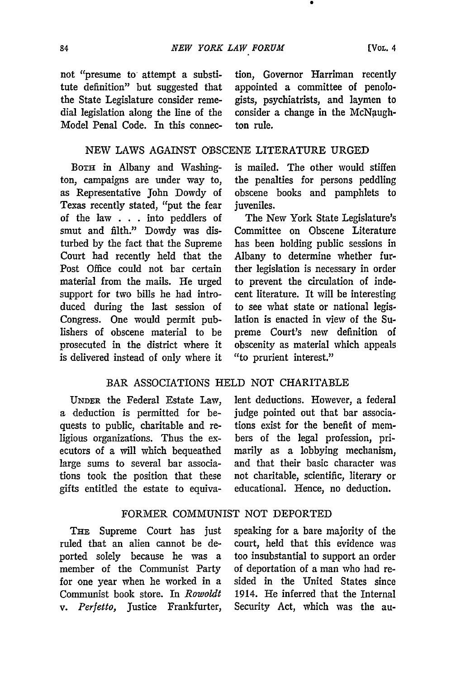not "presume to attempt a substitute definition" but suggested that the State Legislature consider remedial legislation along the line of the Model Penal Code. In this connection, Governor Harriman recently appointed a committee of penologists, psychiatrists, and laymen to consider a change in the McNaughton rule.

#### NEW LAWS AGAINST OBSCENE LITERATURE URGED

**BoTH** in Albany and Washington, campaigns are under way to, as Representative John Dowdy of Texas recently stated, "put the fear of the law . . . into peddlers of smut and filth." Dowdy was disturbed by the fact that the Supreme Court had recently held that the Post Office could not bar certain material from the mails. He urged support for two bills he had introduced during the last session of Congress. One would permit publishers of obscene material to be prosecuted in the district where it is delivered instead of only where it

# BAR ASSOCIATIONS HELD NOT CHARITABLE

**UNDER** the Federal Estate Law, a deduction is permitted for bequests to public, charitable and religious organizations. Thus the executors of a will which bequeathed large sums to several bar associations took the position that these gifts entitled the estate to equiva-

#### FORMER COMMUNIST NOT DEPORTED

THE Supreme Court has just ruled that an alien cannot be deported solely because he was a member of the Communist Party for one year when he worked in a Communist book store. In *Rowoldt v. Perfetto,* Justice Frankfurter, is mailed. The other would stiffen the penalties for persons peddling obscene books and pamphlets to juveniles.

The New York State Legislature's Committee on Obscene Literature has been holding public sessions in Albany to determine whether further legislation is necessary in order to prevent the circulation of indecent literature. It will be interesting to see what state or national legislation is enacted in view of the Supreme Court's new definition of obscenity as material which appeals "to prurient interest."

lent deductions. However, a federal judge pointed out that bar associations exist for the benefit of members of the legal profession, primarily as a lobbying mechanism, and that their basic character was not charitable, scientific, literary or educational. Hence, no deduction.

speaking for a bare majority of the court, held that this evidence was too insubstantial to support an order of deportation of a man who had resided in the United States since 1914. He inferred that the Internal Security Act, which was the au-